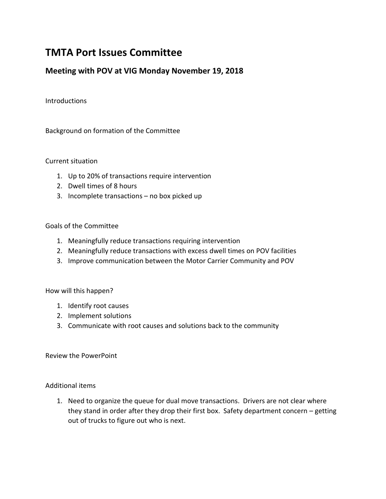# **TMTA Port Issues Committee**

# **Meeting with POV at VIG Monday November 19, 2018**

Introductions

Background on formation of the Committee

Current situation

- 1. Up to 20% of transactions require intervention
- 2. Dwell times of 8 hours
- 3. Incomplete transactions no box picked up

## Goals of the Committee

- 1. Meaningfully reduce transactions requiring intervention
- 2. Meaningfully reduce transactions with excess dwell times on POV facilities
- 3. Improve communication between the Motor Carrier Community and POV

How will this happen?

- 1. Identify root causes
- 2. Implement solutions
- 3. Communicate with root causes and solutions back to the community

Review the PowerPoint

Additional items

1. Need to organize the queue for dual move transactions. Drivers are not clear where they stand in order after they drop their first box. Safety department concern – getting out of trucks to figure out who is next.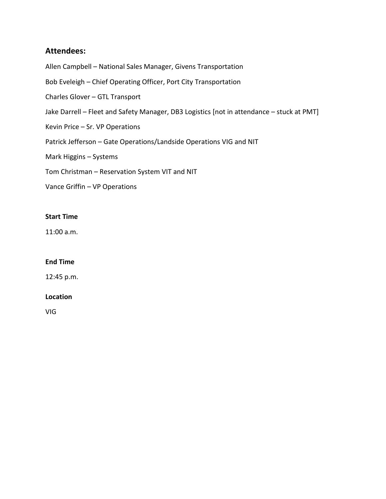# **Attendees:**

Allen Campbell – National Sales Manager, Givens Transportation

Bob Eveleigh – Chief Operating Officer, Port City Transportation

Charles Glover – GTL Transport

Jake Darrell – Fleet and Safety Manager, DB3 Logistics [not in attendance – stuck at PMT]

Kevin Price – Sr. VP Operations

Patrick Jefferson – Gate Operations/Landside Operations VIG and NIT

Mark Higgins – Systems

Tom Christman – Reservation System VIT and NIT

Vance Griffin – VP Operations

## **Start Time**

11:00 a.m.

## **End Time**

12:45 p.m.

## **Location**

VIG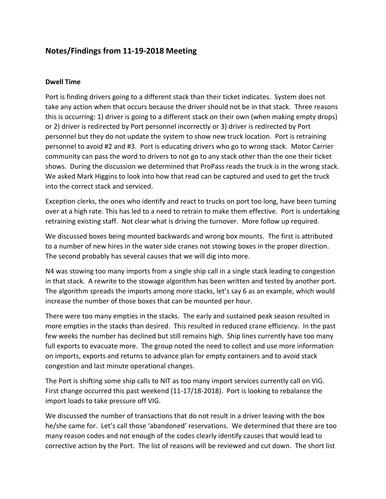# **Notes/Findings from 11-19-2018 Meeting**

## **Dwell Time**

Port is finding drivers going to a different stack than their ticket indicates. System does not take any action when that occurs because the driver should not be in that stack. Three reasons this is occurring: 1) driver is going to a different stack on their own (when making empty drops) or 2) driver is redirected by Port personnel incorrectly or 3) driver is redirected by Port personnel but they do not update the system to show new truck location. Port is retraining personnel to avoid #2 and #3. Port is educating drivers who go to wrong stack. Motor Carrier community can pass the word to drivers to not go to any stack other than the one their ticket shows. During the discussion we determined that ProPass reads the truck is in the wrong stack. We asked Mark Higgins to look into how that read can be captured and used to get the truck into the correct stack and serviced.

Exception clerks, the ones who identify and react to trucks on port too long, have been turning over at a high rate. This has led to a need to retrain to make them effective. Port is undertaking retraining existing staff. Not clear what is driving the turnover. More follow up required.

We discussed boxes being mounted backwards and wrong box mounts. The first is attributed to a number of new hires in the water side cranes not stowing boxes in the proper direction. The second probably has several causes that we will dig into more.

N4 was stowing too many imports from a single ship call in a single stack leading to congestion in that stack. A rewrite to the stowage algorithm has been written and tested by another port. The algorithm spreads the imports among more stacks, let's say 6 as an example, which would increase the number of those boxes that can be mounted per hour.

There were too many empties in the stacks. The early and sustained peak season resulted in more empties in the stacks than desired. This resulted in reduced crane efficiency. In the past few weeks the number has declined but still remains high. Ship lines currently have too many full exports to evacuate more. The group noted the need to collect and use more information on imports, exports and returns to advance plan for empty containers and to avoid stack congestion and last minute operational changes.

The Port is shifting some ship calls to NIT as too many import services currently call on VIG. First change occurred this past weekend (11-17/18-2018). Port is looking to rebalance the import loads to take pressure off VIG.

We discussed the number of transactions that do not result in a driver leaving with the box he/she came for. Let's call those 'abandoned' reservations. We determined that there are too many reason codes and not enough of the codes clearly identify causes that would lead to corrective action by the Port. The list of reasons will be reviewed and cut down. The short list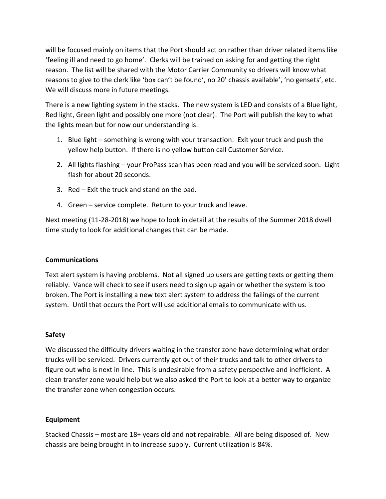will be focused mainly on items that the Port should act on rather than driver related items like 'feeling ill and need to go home'. Clerks will be trained on asking for and getting the right reason. The list will be shared with the Motor Carrier Community so drivers will know what reasons to give to the clerk like 'box can't be found', no 20' chassis available', 'no gensets', etc. We will discuss more in future meetings.

There is a new lighting system in the stacks. The new system is LED and consists of a Blue light, Red light, Green light and possibly one more (not clear). The Port will publish the key to what the lights mean but for now our understanding is:

- 1. Blue light something is wrong with your transaction. Exit your truck and push the yellow help button. If there is no yellow button call Customer Service.
- 2. All lights flashing your ProPass scan has been read and you will be serviced soon. Light flash for about 20 seconds.
- 3. Red Exit the truck and stand on the pad.
- 4. Green service complete. Return to your truck and leave.

Next meeting (11-28-2018) we hope to look in detail at the results of the Summer 2018 dwell time study to look for additional changes that can be made.

## **Communications**

Text alert system is having problems. Not all signed up users are getting texts or getting them reliably. Vance will check to see if users need to sign up again or whether the system is too broken. The Port is installing a new text alert system to address the failings of the current system. Until that occurs the Port will use additional emails to communicate with us.

## **Safety**

We discussed the difficulty drivers waiting in the transfer zone have determining what order trucks will be serviced. Drivers currently get out of their trucks and talk to other drivers to figure out who is next in line. This is undesirable from a safety perspective and inefficient. A clean transfer zone would help but we also asked the Port to look at a better way to organize the transfer zone when congestion occurs.

## **Equipment**

Stacked Chassis – most are 18+ years old and not repairable. All are being disposed of. New chassis are being brought in to increase supply. Current utilization is 84%.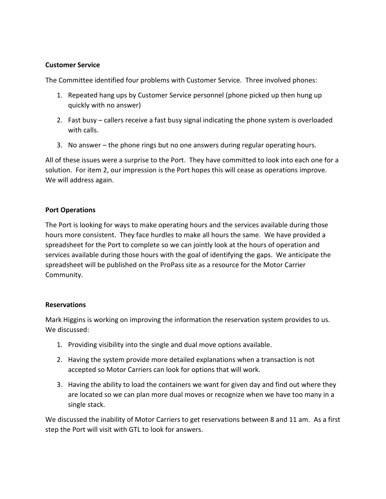## **Customer Service**

The Committee identified four problems with Customer Service. Three involved phones:

- 1. Repeated hang ups by Customer Service personnel (phone picked up then hung up quickly with no answer)
- 2. Fast busy callers receive a fast busy signal indicating the phone system is overloaded with calls.
- 3. No answer the phone rings but no one answers during regular operating hours.

All of these issues were a surprise to the Port. They have committed to look into each one for a solution. For item 2, our impression is the Port hopes this will cease as operations improve. We will address again.

## **Port Operations**

The Port is looking for ways to make operating hours and the services available during those hours more consistent. They face hurdles to make all hours the same. We have provided a spreadsheet for the Port to complete so we can jointly look at the hours of operation and services available during those hours with the goal of identifying the gaps. We anticipate the spreadsheet will be published on the ProPass site as a resource for the Motor Carrier Community.

## **Reservations**

Mark Higgins is working on improving the information the reservation system provides to us. We discussed:

- 1. Providing visibility into the single and dual move options available.
- 2. Having the system provide more detailed explanations when a transaction is not accepted so Motor Carriers can look for options that will work.
- 3. Having the ability to load the containers we want for given day and find out where they are located so we can plan more dual moves or recognize when we have too many in a single stack.

We discussed the inability of Motor Carriers to get reservations between 8 and 11 am. As a first step the Port will visit with GTL to look for answers.